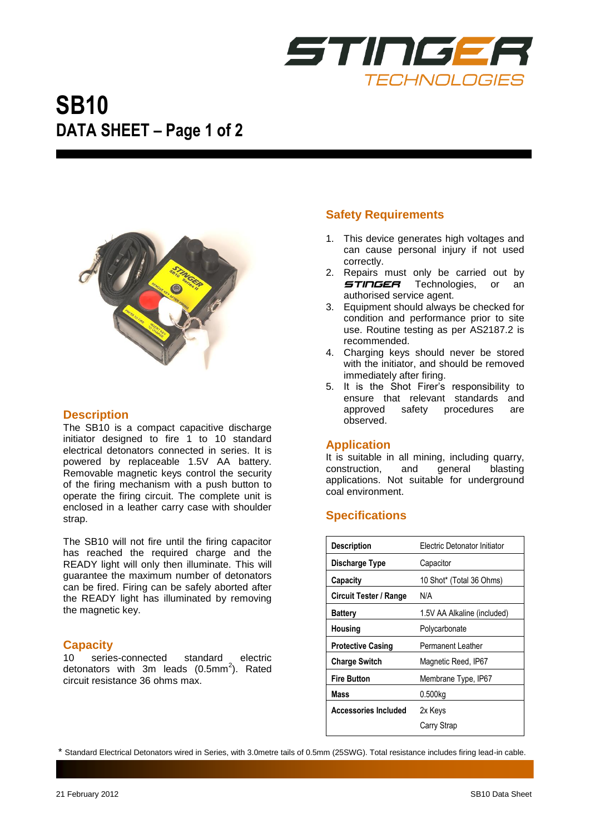

# **SB10 DATA SHEET – Page 1 of 2**



# **Description**

The SB10 is a compact capacitive discharge initiator designed to fire 1 to 10 standard electrical detonators connected in series. It is powered by replaceable 1.5V AA battery. Removable magnetic keys control the security of the firing mechanism with a push button to operate the firing circuit. The complete unit is enclosed in a leather carry case with shoulder strap.

The SB10 will not fire until the firing capacitor has reached the required charge and the READY light will only then illuminate. This will guarantee the maximum number of detonators can be fired. Firing can be safely aborted after the READY light has illuminated by removing the magnetic key.

# **Capacity**

10 series-connected standard electric detonators with 3m leads (0.5mm<sup>2</sup>). Rated circuit resistance 36 ohms max.

# **Safety Requirements**

- 1. This device generates high voltages and can cause personal injury if not used correctly.
- 2. Repairs must only be carried out by **STINGER** Technologies, or an authorised service agent.
- 3. Equipment should always be checked for condition and performance prior to site use. Routine testing as per AS2187.2 is recommended.
- 4. Charging keys should never be stored with the initiator, and should be removed immediately after firing.
- 5. It is the Shot Firer's responsibility to ensure that relevant standards and approved safety procedures are observed.

### **Application**

It is suitable in all mining, including quarry, construction, and general blasting applications. Not suitable for underground coal environment.

# **Specifications**

| <b>Description</b>            | Electric Detonator Initiator |
|-------------------------------|------------------------------|
| Discharge Type                | Capacitor                    |
| Capacity                      | 10 Shot* (Total 36 Ohms)     |
| <b>Circuit Tester / Range</b> | N/A                          |
| Battery                       | 1.5V AA Alkaline (included)  |
| <b>Housing</b>                | Polycarbonate                |
| <b>Protective Casing</b>      | Permanent Leather            |
| <b>Charge Switch</b>          | Magnetic Reed, IP67          |
| <b>Fire Button</b>            | Membrane Type, IP67          |
| Mass                          | 0.500kg                      |
| <b>Accessories Included</b>   | 2x Keys                      |
|                               | Carry Strap                  |

\* Standard Electrical Detonators wired in Series, with 3.0metre tails of 0.5mm (25SWG). Total resistance includes firing lead-in cable.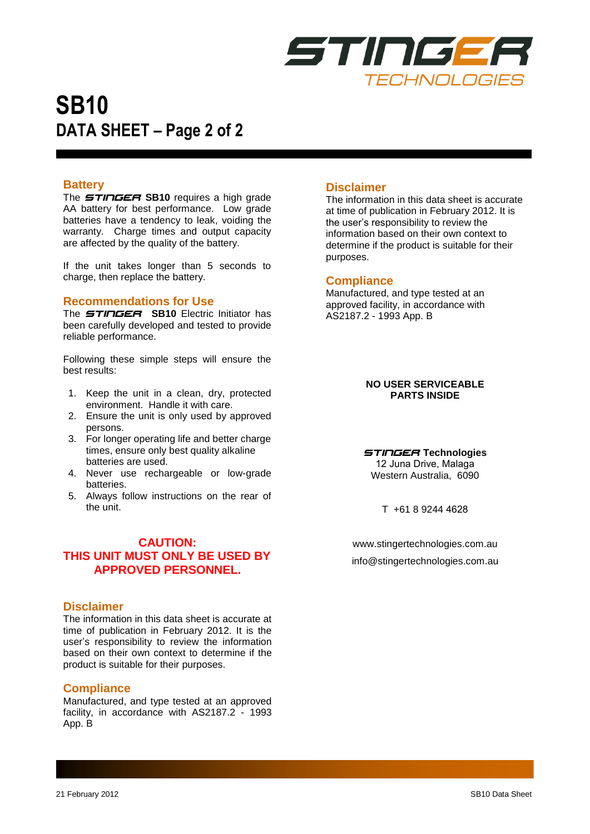

# **SB10 DATA SHEET – Page 2 of 2**

# **Battery**

The *STINGER* **SB10** requires a high grade AA battery for best performance. Low grade batteries have a tendency to leak, voiding the warranty. Charge times and output capacity are affected by the quality of the battery.

If the unit takes longer than 5 seconds to charge, then replace the battery.

### **Recommendations for Use**

The *STINGER* **SB10** Electric Initiator has been carefully developed and tested to provide reliable performance.

Following these simple steps will ensure the best results:

- 1. Keep the unit in a clean, dry, protected environment. Handle it with care.
- 2. Ensure the unit is only used by approved persons.
- 3. For longer operating life and better charge times, ensure only best quality alkaline batteries are used.
- 4. Never use rechargeable or low-grade batteries.
- 5. Always follow instructions on the rear of the unit.

# **CAUTION: THIS UNIT MUST ONLY BE USED BY APPROVED PERSONNEL.**

# **Disclaimer**

The information in this data sheet is accurate at time of publication in February 2012. It is the user's responsibility to review the information based on their own context to determine if the product is suitable for their purposes.

### **Compliance**

Manufactured, and type tested at an approved facility, in accordance with AS2187.2 - 1993 App. B

# **Disclaimer**

The information in this data sheet is accurate at time of publication in February 2012. It is the user's responsibility to review the information based on their own context to determine if the product is suitable for their purposes.

#### **Compliance**

Manufactured, and type tested at an approved facility, in accordance with AS2187.2 - 1993 App. B

#### **NO USER SERVICEABLE PARTS INSIDE**

### *STINGER* **Technologies**

12 Juna Drive, Malaga Western Australia, 6090

T +61 8 9244 4628

www.stingertechnologies.com.au [info@stingertechnologies.com.au](mailto:info@stingertechnologies.com.au)